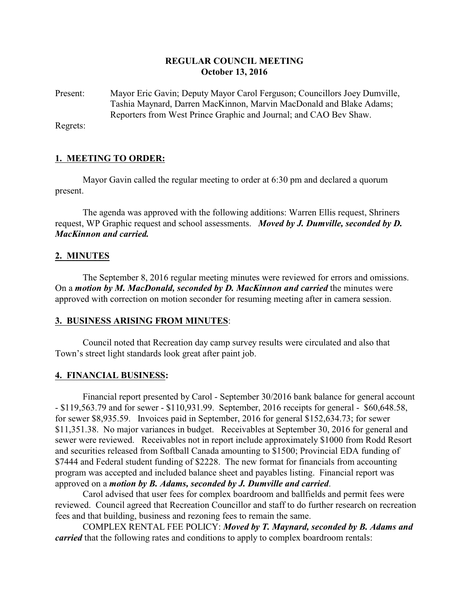# **REGULAR COUNCIL MEETING October 13, 2016**

Present: Mayor Eric Gavin; Deputy Mayor Carol Ferguson; Councillors Joey Dumville, Tashia Maynard, Darren MacKinnon, Marvin MacDonald and Blake Adams; Reporters from West Prince Graphic and Journal; and CAO Bev Shaw.

Regrets:

## **1. MEETING TO ORDER:**

Mayor Gavin called the regular meeting to order at 6:30 pm and declared a quorum present.

The agenda was approved with the following additions: Warren Ellis request, Shriners request, WP Graphic request and school assessments. *Moved by J. Dumville, seconded by D. MacKinnon and carried.*

## **2. MINUTES**

The September 8, 2016 regular meeting minutes were reviewed for errors and omissions. On a *motion by M. MacDonald, seconded by D. MacKinnon and carried* the minutes were approved with correction on motion seconder for resuming meeting after in camera session.

### **3. BUSINESS ARISING FROM MINUTES**:

Council noted that Recreation day camp survey results were circulated and also that Town's street light standards look great after paint job.

### **4. FINANCIAL BUSINESS:**

Financial report presented by Carol - September 30/2016 bank balance for general account - \$119,563.79 and for sewer - \$110,931.99. September, 2016 receipts for general - \$60,648.58, for sewer \$8,935.59. Invoices paid in September, 2016 for general \$152,634.73; for sewer \$11,351.38. No major variances in budget. Receivables at September 30, 2016 for general and sewer were reviewed. Receivables not in report include approximately \$1000 from Rodd Resort and securities released from Softball Canada amounting to \$1500; Provincial EDA funding of \$7444 and Federal student funding of \$2228. The new format for financials from accounting program was accepted and included balance sheet and payables listing. Financial report was approved on a *motion by B. Adams, seconded by J. Dumville and carried*.

Carol advised that user fees for complex boardroom and ballfields and permit fees were reviewed. Council agreed that Recreation Councillor and staff to do further research on recreation fees and that building, business and rezoning fees to remain the same.

COMPLEX RENTAL FEE POLICY: *Moved by T. Maynard, seconded by B. Adams and carried* that the following rates and conditions to apply to complex boardroom rentals: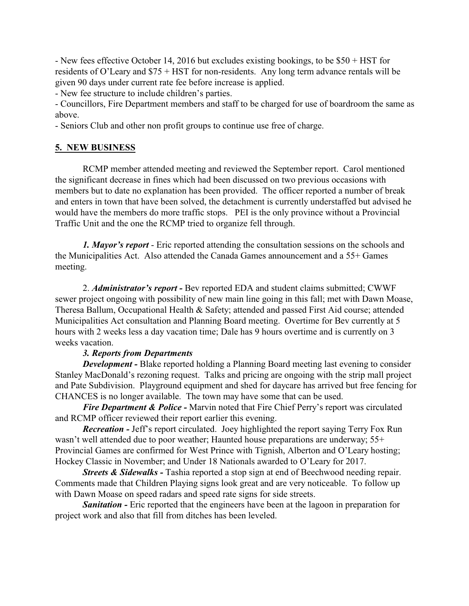- New fees effective October 14, 2016 but excludes existing bookings, to be \$50 + HST for residents of O'Leary and \$75 + HST for non-residents. Any long term advance rentals will be given 90 days under current rate fee before increase is applied.

- New fee structure to include children's parties.

- Councillors, Fire Department members and staff to be charged for use of boardroom the same as above.

- Seniors Club and other non profit groups to continue use free of charge.

# **5. NEW BUSINESS**

RCMP member attended meeting and reviewed the September report. Carol mentioned the significant decrease in fines which had been discussed on two previous occasions with members but to date no explanation has been provided. The officer reported a number of break and enters in town that have been solved, the detachment is currently understaffed but advised he would have the members do more traffic stops. PEI is the only province without a Provincial Traffic Unit and the one the RCMP tried to organize fell through.

*1. Mayor's report* - Eric reported attending the consultation sessions on the schools and the Municipalities Act. Also attended the Canada Games announcement and a 55+ Games meeting.

2. *Administrator's report -* Bev reported EDA and student claims submitted; CWWF sewer project ongoing with possibility of new main line going in this fall; met with Dawn Moase, Theresa Ballum, Occupational Health & Safety; attended and passed First Aid course; attended Municipalities Act consultation and Planning Board meeting. Overtime for Bev currently at 5 hours with 2 weeks less a day vacation time; Dale has 9 hours overtime and is currently on 3 weeks vacation.

# *3. Reports from Departments*

*Development* - Blake reported holding a Planning Board meeting last evening to consider Stanley MacDonald's rezoning request. Talks and pricing are ongoing with the strip mall project and Pate Subdivision. Playground equipment and shed for daycare has arrived but free fencing for CHANCES is no longer available. The town may have some that can be used.

*Fire Department & Police -* Marvin noted that Fire Chief Perry's report was circulated and RCMP officer reviewed their report earlier this evening.

*Recreation -* Jeff's report circulated. Joey highlighted the report saying Terry Fox Run wasn't well attended due to poor weather; Haunted house preparations are underway; 55+ Provincial Games are confirmed for West Prince with Tignish, Alberton and O'Leary hosting; Hockey Classic in November; and Under 18 Nationals awarded to O'Leary for 2017.

*Streets & Sidewalks* - Tashia reported a stop sign at end of Beechwood needing repair. Comments made that Children Playing signs look great and are very noticeable. To follow up with Dawn Moase on speed radars and speed rate signs for side streets.

**Sanitation -** Eric reported that the engineers have been at the lagoon in preparation for project work and also that fill from ditches has been leveled.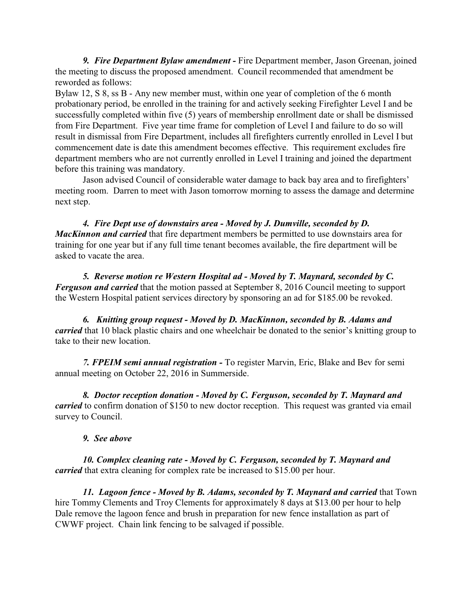*9. Fire Department Bylaw amendment -* Fire Department member, Jason Greenan, joined the meeting to discuss the proposed amendment. Council recommended that amendment be reworded as follows:

Bylaw 12, S 8, ss B - Any new member must, within one year of completion of the 6 month probationary period, be enrolled in the training for and actively seeking Firefighter Level I and be successfully completed within five (5) years of membership enrollment date or shall be dismissed from Fire Department. Five year time frame for completion of Level I and failure to do so will result in dismissal from Fire Department, includes all firefighters currently enrolled in Level I but commencement date is date this amendment becomes effective. This requirement excludes fire department members who are not currently enrolled in Level I training and joined the department before this training was mandatory.

Jason advised Council of considerable water damage to back bay area and to firefighters' meeting room. Darren to meet with Jason tomorrow morning to assess the damage and determine next step.

*4. Fire Dept use of downstairs area - Moved by J. Dumville, seconded by D. MacKinnon and carried* that fire department members be permitted to use downstairs area for training for one year but if any full time tenant becomes available, the fire department will be asked to vacate the area.

*5. Reverse motion re Western Hospital ad - Moved by T. Maynard, seconded by C. Ferguson and carried* that the motion passed at September 8, 2016 Council meeting to support the Western Hospital patient services directory by sponsoring an ad for \$185.00 be revoked.

*6. Knitting group request - Moved by D. MacKinnon, seconded by B. Adams and carried* that 10 black plastic chairs and one wheelchair be donated to the senior's knitting group to take to their new location.

*7. FPEIM semi annual registration -* To register Marvin, Eric, Blake and Bev for semi annual meeting on October 22, 2016 in Summerside.

*8. Doctor reception donation - Moved by C. Ferguson, seconded by T. Maynard and carried* to confirm donation of \$150 to new doctor reception. This request was granted via email survey to Council.

# *9. See above*

*10. Complex cleaning rate - Moved by C. Ferguson, seconded by T. Maynard and carried* that extra cleaning for complex rate be increased to \$15.00 per hour.

*11. Lagoon fence - Moved by B. Adams, seconded by T. Maynard and carried* that Town hire Tommy Clements and Troy Clements for approximately 8 days at \$13.00 per hour to help Dale remove the lagoon fence and brush in preparation for new fence installation as part of CWWF project. Chain link fencing to be salvaged if possible.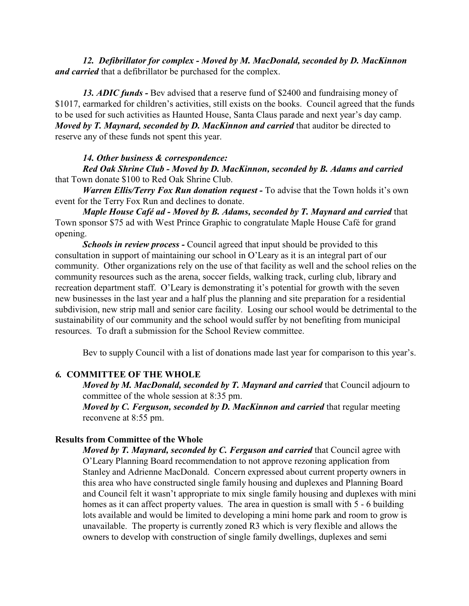*12. Defibrillator for complex - Moved by M. MacDonald, seconded by D. MacKinnon and carried* that a defibrillator be purchased for the complex.

*13. ADIC funds -* Bev advised that a reserve fund of \$2400 and fundraising money of \$1017, earmarked for children's activities, still exists on the books. Council agreed that the funds to be used for such activities as Haunted House, Santa Claus parade and next year's day camp. *Moved by T. Maynard, seconded by D. MacKinnon and carried that auditor be directed to* reserve any of these funds not spent this year.

*14. Other business & correspondence:*

*Red Oak Shrine Club - Moved by D. MacKinnon, seconded by B. Adams and carried* that Town donate \$100 to Red Oak Shrine Club.

*Warren Ellis/Terry Fox Run donation request -* To advise that the Town holds it's own event for the Terry Fox Run and declines to donate.

*Maple House Café ad - Moved by B. Adams, seconded by T. Maynard and carried that* Town sponsor \$75 ad with West Prince Graphic to congratulate Maple House Café for grand opening.

*Schools in review process -* Council agreed that input should be provided to this consultation in support of maintaining our school in O'Leary as it is an integral part of our community. Other organizations rely on the use of that facility as well and the school relies on the community resources such as the arena, soccer fields, walking track, curling club, library and recreation department staff. O'Leary is demonstrating it's potential for growth with the seven new businesses in the last year and a half plus the planning and site preparation for a residential subdivision, new strip mall and senior care facility. Losing our school would be detrimental to the sustainability of our community and the school would suffer by not benefiting from municipal resources. To draft a submission for the School Review committee.

Bev to supply Council with a list of donations made last year for comparison to this year's.

#### *6.* **COMMITTEE OF THE WHOLE**

*Moved by M. MacDonald, seconded by T. Maynard and carried that Council adjourn to* committee of the whole session at 8:35 pm.

*Moved by C. Ferguson, seconded by D. MacKinnon and carried that regular meeting* reconvene at 8:55 pm.

#### **Results from Committee of the Whole**

*Moved by T. Maynard, seconded by C. Ferguson and carried that Council agree with* O'Leary Planning Board recommendation to not approve rezoning application from Stanley and Adrienne MacDonald. Concern expressed about current property owners in this area who have constructed single family housing and duplexes and Planning Board and Council felt it wasn't appropriate to mix single family housing and duplexes with mini homes as it can affect property values. The area in question is small with 5 - 6 building lots available and would be limited to developing a mini home park and room to grow is unavailable. The property is currently zoned R3 which is very flexible and allows the owners to develop with construction of single family dwellings, duplexes and semi